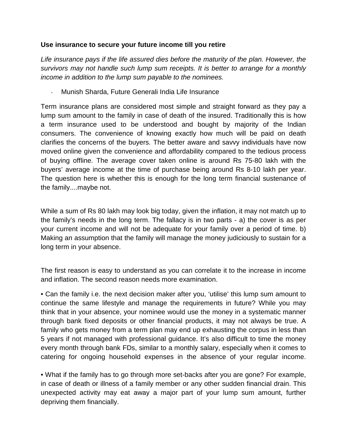## **Use insurance to secure your future income till you retire**

Life insurance pays if the life assured dies before the maturity of the plan. However, the survivors may not handle such lump sum receipts. It is better to arrange for a monthly income in addition to the lump sum payable to the nominees.

Munish Sharda, Future Generali India Life Insurance

Term insurance plans are considered most simple and straight forward as they pay a lump sum amount to the family in case of death of the insured. Traditionally this is how a term insurance used to be understood and bought by majority of the Indian consumers. The convenience of knowing exactly how much will be paid on death clarifies the concerns of the buyers. The better aware and savvy individuals have now moved online given the convenience and affordability compared to the tedious process of buying offline. The average cover taken online is around Rs 75-80 lakh with the buyers' average income at the time of purchase being around Rs 8-10 lakh per year. The question here is whether this is enough for the long term financial sustenance of the family....maybe not.

While a sum of Rs 80 lakh may look big today, given the inflation, it may not match up to the family's needs in the long term. The fallacy is in two parts - a) the cover is as per your current income and will not be adequate for your family over a period of time. b) Making an assumption that the family will manage the money judiciously to sustain for a long term in your absence.

The first reason is easy to understand as you can correlate it to the increase in income and inflation. The second reason needs more examination.

• Can the family i.e. the next decision maker after you, 'utilise' this lump sum amount to continue the same lifestyle and manage the requirements in future? While you may think that in your absence, your nominee would use the money in a systematic manner through bank fixed deposits or other financial products, it may not always be true. A family who gets money from a term plan may end up exhausting the corpus in less than 5 years if not managed with professional guidance. It's also difficult to time the money every month through bank FDs, similar to a monthly salary, especially when it comes to catering for ongoing household expenses in the absence of your regular income.

• What if the family has to go through more set-backs after you are gone? For example, in case of death or illness of a family member or any other sudden financial drain. This unexpected activity may eat away a major part of your lump sum amount, further depriving them financially.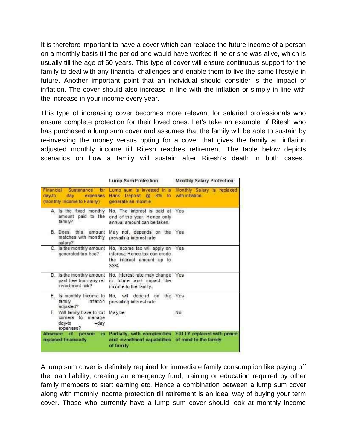It is therefore important to have a cover which can replace the future income of a person on a monthly basis till the period one would have worked if he or she was alive, which is usually till the age of 60 years. This type of cover will ensure continuous support for the family to deal with any financial challenges and enable them to live the same lifestyle in future. Another important point that an individual should consider is the impact of inflation. The cover should also increase in line with the inflation or simply in line with the increase in your income every year.

This type of increasing cover becomes more relevant for salaried professionals who ensure complete protection for their loved ones. Let's take an example of Ritesh who has purchased a lump sum cover and assumes that the family will be able to sustain by re-investing the money versus opting for a cover that gives the family an inflation adjusted monthly income till Ritesh reaches retirement. The table below depicts scenarios on how a family will sustain after Ritesh's death in both cases.

|                                                                                     | Lump Sum Protection                                                                               | Monthly Salary Protection                              |
|-------------------------------------------------------------------------------------|---------------------------------------------------------------------------------------------------|--------------------------------------------------------|
| Financial Sustenance for<br>day-to<br>day expenses<br>(Monthly Income to Family)    | Bank Deposit @ 8% to with inflation.<br>generate an income                                        | Lump sum is invested in a Monthly Salary is replaced   |
| A. Is the fixed monthly<br>amount paid to the<br>family?                            | No. The interest is paid at<br>end of the year. Hence only<br>annual amount can be taken.         | Yes                                                    |
| B. Does this amount<br>matches with monthly<br>salary?                              | May not, depends on the Yes<br>prevailing interest rate                                           |                                                        |
| C. Is the monthly amount<br>generated tax free?                                     | No, income tax will apply on<br>interest. Hence tax can erode<br>the interest amount up to<br>33% | Yes                                                    |
| D. Is the monthly amount<br>paid free from any re-<br>investment risk?              | No, interest rate may change Yes<br>in future and impact the<br>income to the family.             |                                                        |
| E. Is monthly Income to<br>family<br>Inflation<br>adjusted?                         | No, will depend on<br>prevailing interest rate.                                                   | the Yes                                                |
| F. Will family have to cut<br>corners to<br>manage<br>day-to<br>$-dav$<br>expenses? | Maybe                                                                                             | No                                                     |
| Absence of person<br>is.<br>replaced financially                                    | and investment capabilities of mind to the family<br>of family                                    | Partially, with complexities FULLY replaced with peace |

A lump sum cover is definitely required for immediate family consumption like paying off the loan liability, creating an emergency fund, training or education required by other family members to start earning etc. Hence a combination between a lump sum cover along with monthly income protection till retirement is an ideal way of buying your term cover. Those who currently have a lump sum cover should look at monthly income